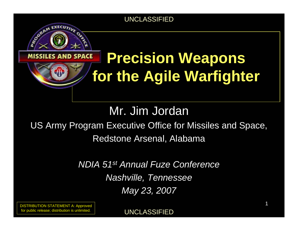#### **ES AND SPACE**

CORAM EXECUTIVE

# **Precision Weapons for the Agile Warfighter**

Mr. Jim Jordan

### US Army Program Executive Office for Missiles and Space, Redstone Arsenal, Alabama

*NDIA 51st Annual Fuze Conference Nashville, Tennessee May 23, 2007*

DISTRIBUTION STATEMENT A: Approved for public release; distribution is unlimited.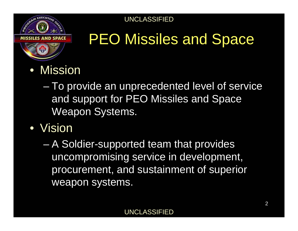# **SRAM EXECUTIV**

# PEO Missiles and Space

- $\bullet$  Mission
	- – To provide an unprecedented level of service and support for PEO Missiles and Space Weapon Systems.
- Vision
	- – A Soldier-supported team that provides uncompromising service in development, procurement, and sustainment of superior weapon systems.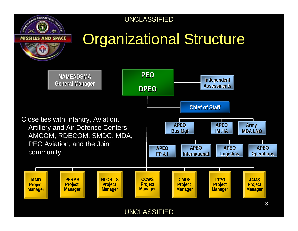

# **Organizational Structure**

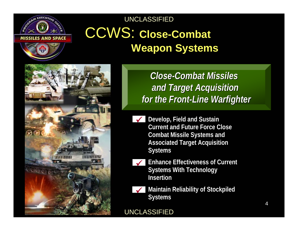

UNCLASSIFIED CCWS: **Close-Combat** 

# **Weapon Systems**



*Close-Combat Missiles Close-Combat Missiles Combat Missiles and Target Acquisition and Target Acquisition and Target Acquisition for the Front-Line Warfighter for the Front for the Front-Line Warfighter Line Warfighter*

- 9**Develop, Field and Sustain Develop, Field and Sustain Current and Future Force Close Current and Future Force Close Combat Missile Systems and Combat Missile Systems and Associated Target Acquisition Associated Target Acquisition Systems Systems**
- $\checkmark$
- **Enhance Effectiveness of Current Enhance Effectiveness of Current Systems With Technology Systems With Technology InsertionInsertion**



**Maintain Reliability of Stockpiled Maintain Reliability of Stockpiled Systems Systems**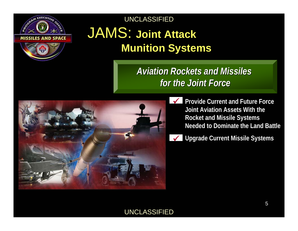

### JAMS: **Joint Attack Munition Systems**

*Aviation Rockets and Missiles Aviation Rockets and Missiles Aviation Rockets and Missiles for the Joint Forcefor the Joint Force for the Joint Force*



- **Provide Current and Future Force Provide Current and Future Force Joint Aviation Assets With the Joint Aviation Assets With the Rocket and Missile Systems Rocket and Missile Systems Needed to Dominate the Land BattleNeeded to Dominate the Land Battle**
- **Upgrade Current Missile Systems Upgrade Current Missile Systems** 9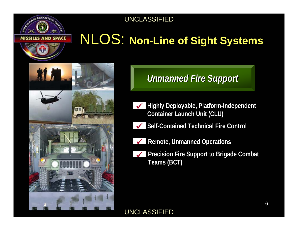## NLOS: **Non-Line of Sight Systems**



### *Unmanned Fire Support*

- **Highly Deployable, Platform-Independent Highly Deployable, Platform-Independent**  9**Container Launch Unit (CLU) Container Launch Unit (CLU)**
- **Self-Contained Technical Fire ControlSelf-Contained Technical Fire Control** 9
- - **Remote, Unmanned Operations Remote, Unmanned Operations** 9
	- **Precision Fire Support to Brigade Combat Precision Fire Support to Brigade Combat**  9**Teams (BCT) Teams (BCT)**

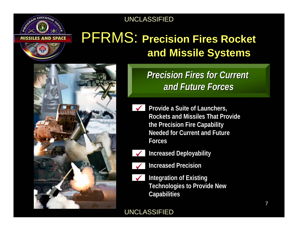### PFRMS: **Precision Fires Rocket and Missile Systems**



*Precision Fires for Current Precision Fires for Current Precision Fires for Current and Future Forcesand Future Forces and Future Forces*

- $\checkmark$ 
	- **Provide a Suite of Launchers, Provide a Suite of Launchers, Rockets and Missiles That Provide Rockets and Missiles That Provide the Precision Fire Capability the Precision Fire Capability Needed for Current and Future Needed for Current and Future ForcesForces**



**Increased Deployability Increased Deployability**



**Increased PrecisionIncreased Precision**



**Integration of Existing Integration of Existing Technologies to Provide New Technologies to Provide New Capabilities Capabilities**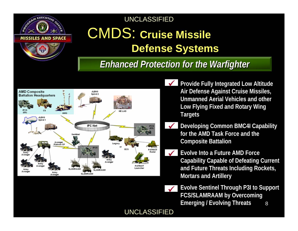

### CMDS: **Cruise Missile Defense Systems**

### *Enhanced Protection for the Warfighter Enhanced Protection for the Warfighter Enhanced Protection for the Warfighter*



- **Provide Fully Integrated Low Altitude Provide Fully Integrated Low Altitude**  9**Air Defense Against Cruise Missiles, Air Defense Against Cruise Missiles, Unmanned Aerial Vehicles and other Unmanned Aerial Vehicles and other Low Flying Fixed and Rotary Wing Low Flying Fixed and Rotary Wing Targets Targets**
- **Developing Common BMC4I Capability Developing Common BMC4I Capability for the AMD Task Force and the for the AMD Task Force and the Composite Battalion Composite Battalion**  $\checkmark$
- **Evolve Into a Future AMD Force Evolve Into a Future AMD Force Capability Capable of Defeating Current Capability Capable of Defeating Current and Future Threats Including Rockets, and Future Threats Including Rockets, Mortars and Artillery Mortars and Artillery**  $\checkmark$



8**Evolve Sentinel Through P3I to Support Evolve Sentinel Through P3I to Support FCS/SLAMRAAM by Overcoming FCS/SLAMRAAM by Overcoming Emerging / Evolving Threats Emerging / Evolving Threats**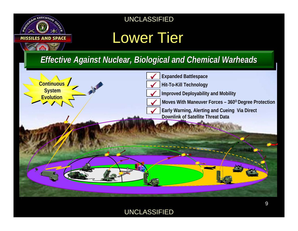

### Lower Tier

*Effective Against Nuclear, Biological and Chemical Warheads Effective Against Nuclear, Biological and Chemical Warheads Effective Against Nuclear, Biological and Chemical Warheads*

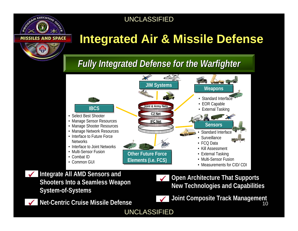### **Integrated Air & Missile Defense**

### *Fully Integrated Defense for the Warfighter Fully Integrated Defense for the Warfighter Fully Integrated Defense for the Warfighter*



#### **Integrate All AMD Sensors and Integrate All AMD Sensors and Shooters Into a Seamless Weapon Shooters Into a Seamless Weapon System-of-Systems System-of-Systems**  $\checkmark$

 $\checkmark$ 

**SRAM EXECUTIV** 

**Net-Centric Cruise Missile DefenseNet-Centric Cruise Missile Defense**

**Open Architecture That Supports Open Architecture That Supports New Technologies and Capabilities New Technologies and Capabilities** 9



10**Joint Composite Track Management Joint Composite Track Management**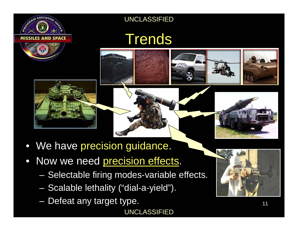

### **Trends**





- We have precision guidance.
- $\bullet$  Now we need precision effects.
	- Selectable firing modes-variable effects.
	- $\mathcal{L}_{\mathcal{A}}$ Scalable lethality ("dial-a-yield").
	- $\mathcal{L}_{\mathcal{A}}$ Defeat any target type.

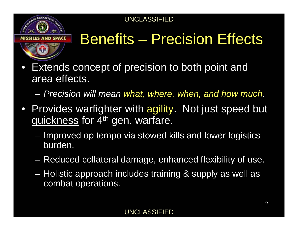

# Benefits – Precision Effects

- $\bullet$  Extends concept of precision to both point and area effects.
	- $\sim$ *Precision will mean what, where, when, and how much.*
- Provides warfighter with agility. Not just speed but quickness for 4<sup>th</sup> gen. warfare.
	- $\mathcal{L}_{\mathcal{A}}$  Improved op tempo via stowed kills and lower logistics burden.
	- $\mathcal{L}_{\mathcal{A}}$ Reduced collateral damage, enhanced flexibility of use.
	- $\mathcal{L}_{\mathcal{A}}$  Holistic approach includes training & supply as well as combat operations.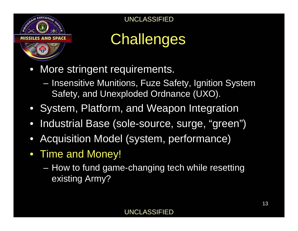

# **Challenges**

- $\bullet$  More stringent requirements.
	- **Hart Communication**  Insensitive Munitions, Fuze Safety, Ignition System Safety, and Unexploded Ordnance (UXO).
- System, Platform, and Weapon Integration
- $\bullet$ Industrial Base (sole-source, surge, "green")
- $\bullet$ Acquisition Model (system, performance)
- Time and Money!
	- **Hart Adams and Adams**  How to fund game-changing tech while resetting existing Army?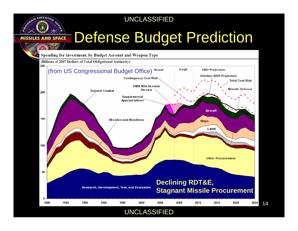GRAM EXECUTIVE

**SPACE** 

## Defense Budget Prediction

14

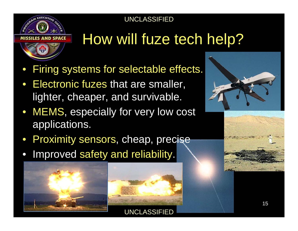

# How will fuze tech help?

- $\bullet$ Firing systems for selectable effects.
- $\bullet$  Electronic fuzes that are smaller, lighter, cheaper, and survivable.
- MEMS, especially for very low cost applications.
- Proximity sensors, cheap, precise
- $\bullet$ Improved safety and reliability.